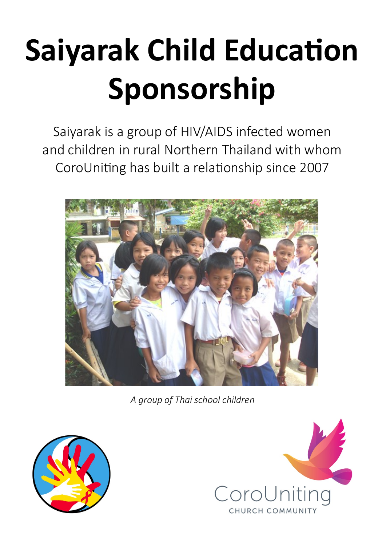# **Saiyarak Child Education Sponsorship**

Saiyarak is a group of HIV/AIDS infected women and children in rural Northern Thailand with whom CoroUniting has built a relationship since 2007



*A group of Thai school children*



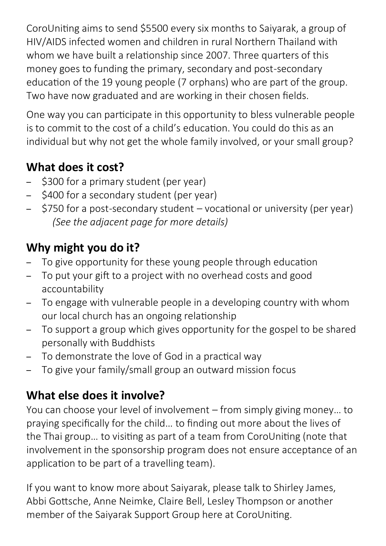CoroUniting aims to send \$5500 every six months to Saiyarak, a group of HIV/AIDS infected women and children in rural Northern Thailand with whom we have built a relationship since 2007. Three quarters of this money goes to funding the primary, secondary and post-secondary education of the 19 young people (7 orphans) who are part of the group. Two have now graduated and are working in their chosen fields.

One way you can participate in this opportunity to bless vulnerable people is to commit to the cost of a child's education. You could do this as an individual but why not get the whole family involved, or your small group?

#### **What does it cost?**

- \$300 for a primary student (per year)
- \$400 for a secondary student (per year)
- \$750 for a post-secondary student vocational or university (per year) *(See the adjacent page for more details)*

## **Why might you do it?**

- To give opportunity for these young people through education
- To put your gift to a project with no overhead costs and good accountability
- To engage with vulnerable people in a developing country with whom our local church has an ongoing relationship
- To support a group which gives opportunity for the gospel to be shared personally with Buddhists
- To demonstrate the love of God in a practical way
- To give your family/small group an outward mission focus

### **What else does it involve?**

You can choose your level of involvement – from simply giving money… to praying specifically for the child… to finding out more about the lives of the Thai group… to visiting as part of a team from CoroUniting (note that involvement in the sponsorship program does not ensure acceptance of an application to be part of a travelling team).

If you want to know more about Saiyarak, please talk to Shirley James, Abbi Gottsche, Anne Neimke, Claire Bell, Lesley Thompson or another member of the Saiyarak Support Group here at CoroUniting.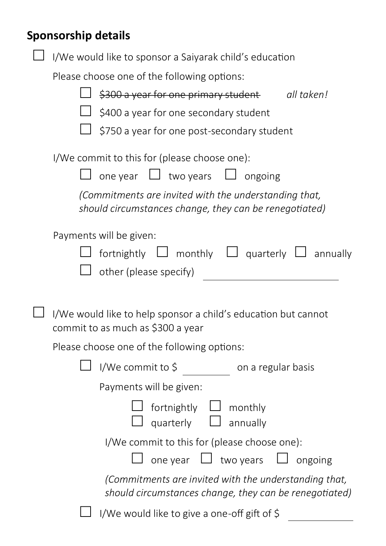## **Sponsorship details**

| I/We would like to sponsor a Saiyarak child's education<br>Please choose one of the following options:                                                                                                      |
|-------------------------------------------------------------------------------------------------------------------------------------------------------------------------------------------------------------|
| \$300 a year for one primary student<br>all taken!<br>\$400 a year for one secondary student<br>\$750 a year for one post-secondary student                                                                 |
| I/We commit to this for (please choose one):<br>one year $\Box$ two years $\Box$ ongoing<br>(Commitments are invited with the understanding that,<br>should circumstances change, they can be renegotiated) |
| Payments will be given:<br>fortnightly $\Box$ monthly $\Box$ quarterly $\Box$ annually<br>other (please specify)                                                                                            |
| I/We would like to help sponsor a child's education but cannot<br>commit to as much as \$300 a year                                                                                                         |
| Please choose one of the following options:                                                                                                                                                                 |
| I/We commit to \$ on a regular basis                                                                                                                                                                        |
| Payments will be given:                                                                                                                                                                                     |
| fortnightly $\Box$ monthly<br>$\Box$ annually<br>quarterly                                                                                                                                                  |
| I/We commit to this for (please choose one):<br>one year $\Box$ two years $\Box$ ongoing                                                                                                                    |
| (Commitments are invited with the understanding that,<br>should circumstances change, they can be renegotiated)                                                                                             |
| I/We would like to give a one-off gift of \$                                                                                                                                                                |